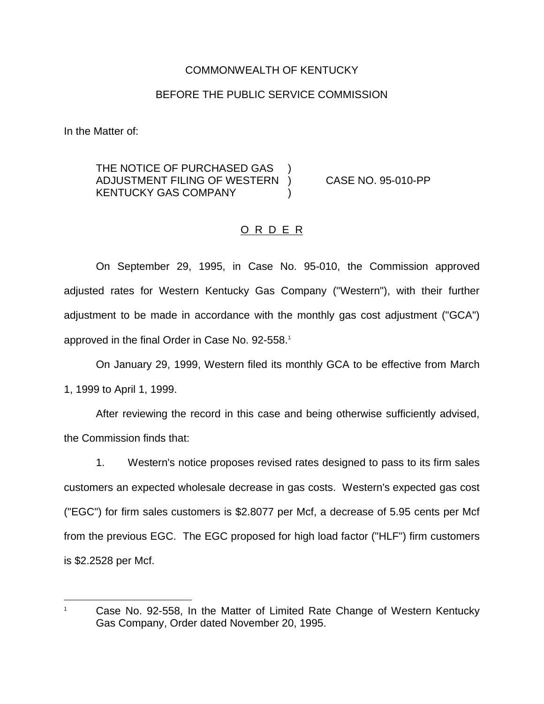## COMMONWEALTH OF KENTUCKY

### BEFORE THE PUBLIC SERVICE COMMISSION

In the Matter of:

THE NOTICE OF PURCHASED GAS ADJUSTMENT FILING OF WESTERN ) CASE NO. 95-010-PP KENTUCKY GAS COMPANY (1998)

### O R D E R

On September 29, 1995, in Case No. 95-010, the Commission approved adjusted rates for Western Kentucky Gas Company ("Western"), with their further adjustment to be made in accordance with the monthly gas cost adjustment ("GCA") approved in the final Order in Case No. 92-558.<sup>1</sup>

On January 29, 1999, Western filed its monthly GCA to be effective from March 1, 1999 to April 1, 1999.

After reviewing the record in this case and being otherwise sufficiently advised, the Commission finds that:

1. Western's notice proposes revised rates designed to pass to its firm sales customers an expected wholesale decrease in gas costs. Western's expected gas cost ("EGC") for firm sales customers is \$2.8077 per Mcf, a decrease of 5.95 cents per Mcf from the previous EGC. The EGC proposed for high load factor ("HLF") firm customers is \$2.2528 per Mcf.

<sup>&</sup>lt;sup>1</sup> Case No. 92-558, In the Matter of Limited Rate Change of Western Kentucky Gas Company, Order dated November 20, 1995.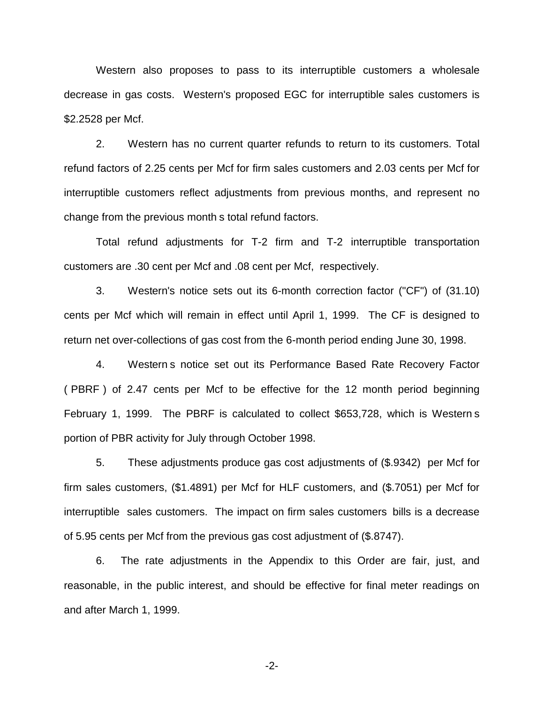Western also proposes to pass to its interruptible customers a wholesale decrease in gas costs. Western's proposed EGC for interruptible sales customers is \$2.2528 per Mcf.

2. Western has no current quarter refunds to return to its customers. Total refund factors of 2.25 cents per Mcf for firm sales customers and 2.03 cents per Mcf for interruptible customers reflect adjustments from previous months, and represent no change from the previous month s total refund factors.

Total refund adjustments for T-2 firm and T-2 interruptible transportation customers are .30 cent per Mcf and .08 cent per Mcf, respectively.

3. Western's notice sets out its 6-month correction factor ("CF") of (31.10) cents per Mcf which will remain in effect until April 1, 1999. The CF is designed to return net over-collections of gas cost from the 6-month period ending June 30, 1998.

4. Western s notice set out its Performance Based Rate Recovery Factor ( PBRF ) of 2.47 cents per Mcf to be effective for the 12 month period beginning February 1, 1999. The PBRF is calculated to collect \$653,728, which is Western s portion of PBR activity for July through October 1998.

5. These adjustments produce gas cost adjustments of (\$.9342) per Mcf for firm sales customers, (\$1.4891) per Mcf for HLF customers, and (\$.7051) per Mcf for interruptible sales customers. The impact on firm sales customers bills is a decrease of 5.95 cents per Mcf from the previous gas cost adjustment of (\$.8747).

6. The rate adjustments in the Appendix to this Order are fair, just, and reasonable, in the public interest, and should be effective for final meter readings on and after March 1, 1999.

-2-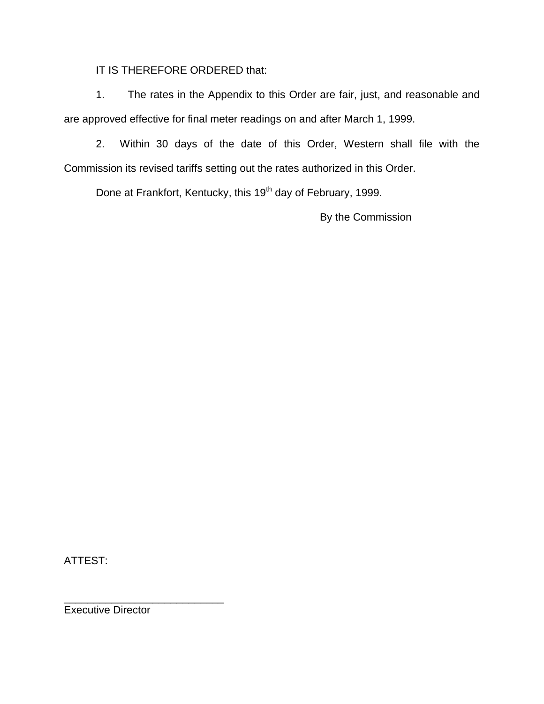IT IS THEREFORE ORDERED that:

1. The rates in the Appendix to this Order are fair, just, and reasonable and are approved effective for final meter readings on and after March 1, 1999.

2. Within 30 days of the date of this Order, Western shall file with the Commission its revised tariffs setting out the rates authorized in this Order.

Done at Frankfort, Kentucky, this 19<sup>th</sup> day of February, 1999.

By the Commission

ATTEST:

\_\_\_\_\_\_\_\_\_\_\_\_\_\_\_\_\_\_\_\_\_\_\_\_\_\_\_ Executive Director